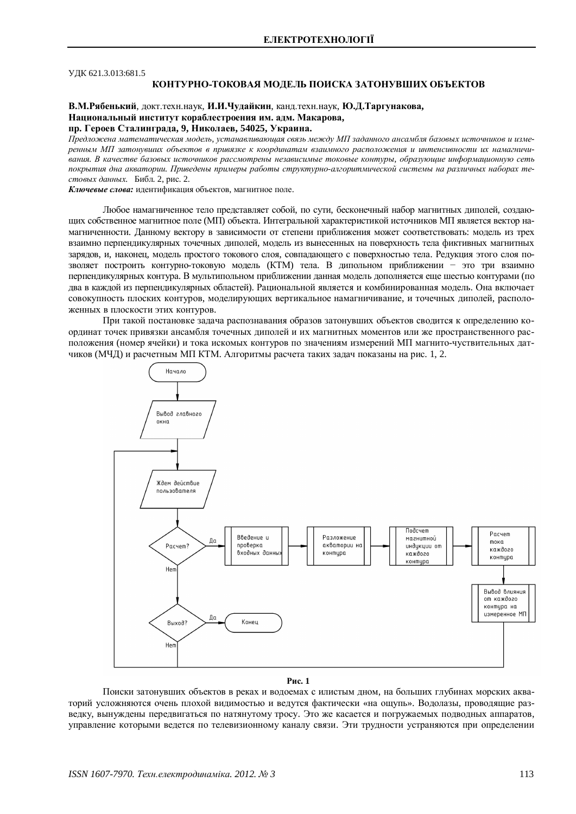### УЛК 621.3.013:681.5

# КОНТУРНО-ТОКОВАЯ МОДЕЛЬ ПОИСКА ЗАТОНУВШИХ ОБЪЕКТОВ

В.М.Рябенький, докт.техн.наук, И.И.Чудайкин, канд.техн.наук, Ю.Д.Таргунакова, Национальный институт кораблестроения им. адм. Макарова, пр. Героев Сталинграда, 9, Николаев, 54025, Украина.

Предложена математическая модель, устанавливающая связь между МП заданного ансамбля базовых источников и измеренным МП затонувших объектов в привязке к координатам взаимного расположения и интенсивности их намагничи**вания. В качестве базовых источников рассмотрены независимые токовые контуры, образующие информационную сеть** покрытия дна акватории. Приведены примеры работы структурно-алгоритмической системы на различных наборах те- $\mu$ *етовых данных.* Библ. 2, рис. 2.

Ключевые слова: идентификация объектов, магнитное поле.

Любое намагниченное тело представляет собой, по сути, бесконечный набор магнитных диполей, создающих собственное магнитное поле (МП) объекта. Интегральной характеристикой источников МП является вектор намагниченности. Данному вектору в зависимости от степени приближения может соответствовать: модель из трех взаимно перпендикулярных точечных диполей, модель из вынесенных на поверхность тела фиктивных магнитных зарядов, и, наконец, модель простого токового слоя, совпадающего с поверхностью тела. Редукция этого слоя позволяет построить контурно-токовую модель (КТМ) тела. В дипольном приближении - это три взаимно перпендикулярных контура. В мультипольном приближении данная модель дополняется еще шестью контурами (по два в каждой из перпендикулярных областей). Рациональной является и комбинированная модель. Она включает совокупность плоских контуров, моделирующих вертикальное намагничивание, и точечных диполей, расположенных в плоскости этих контуров.

При такой постановке задача распознавания образов затонувших объектов сводится к определению координат точек привязки ансамбля точечных диполей и их магнитных моментов или же пространственного расположения (номер ячейки) и тока искомых контуров по значениям измерений МП магнито-чуствительных датчиков (МЧД) и расчетным МП КТМ. Алгоритмы расчета таких задач показаны на рис. 1, 2.



**Рис. 1** 

Поиски затонувших объектов в реках и водоемах с илистым дном, на больших глубинах морских акваторий усложняются очень плохой видимостью и ведутся фактически «на ощупь». Водолазы, проводящие разведку, вынуждены передвигаться по натянутому тросу. Это же касается и погружаемых подводных аппаратов, управление которыми ведется по телевизионному каналу связи. Эти трудности устраняются при определении